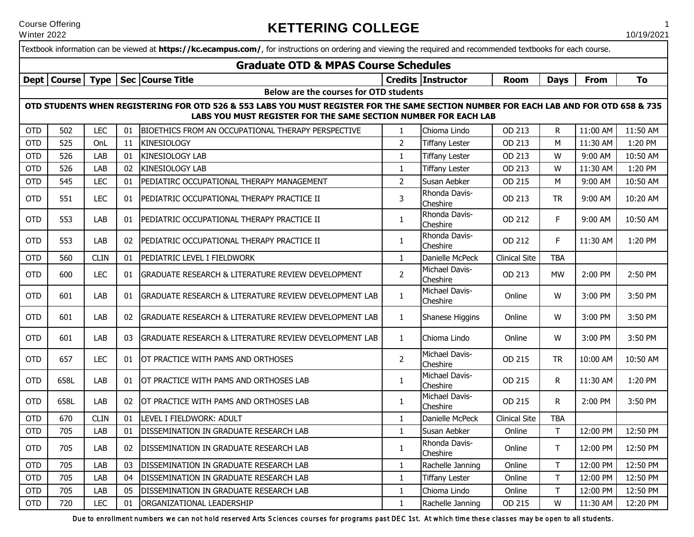Course Offering

## Course Offering<br>
Winter 2022<br> **KETTERING COLLEGE**

10/19/2021

| Textbook information can be viewed at https://kc.ecampus.com/, for instructions on ordering and viewing the required and recommended textbooks for each course.                                          |      |             |                 |                                                              |                       |                            |                      |             |             |          |
|----------------------------------------------------------------------------------------------------------------------------------------------------------------------------------------------------------|------|-------------|-----------------|--------------------------------------------------------------|-----------------------|----------------------------|----------------------|-------------|-------------|----------|
| <b>Graduate OTD &amp; MPAS Course Schedules</b>                                                                                                                                                          |      |             |                 |                                                              |                       |                            |                      |             |             |          |
|                                                                                                                                                                                                          |      |             |                 | Dept   Course   Type   Sec   Course Title                    |                       | <b>Credits Instructor</b>  | <b>Room</b>          | <b>Days</b> | <b>From</b> | To       |
|                                                                                                                                                                                                          |      |             |                 | Below are the courses for OTD students                       |                       |                            |                      |             |             |          |
| OTD STUDENTS WHEN REGISTERING FOR OTD 526 & 553 LABS YOU MUST REGISTER FOR THE SAME SECTION NUMBER FOR EACH LAB AND FOR OTD 658 & 735<br>LABS YOU MUST REGISTER FOR THE SAME SECTION NUMBER FOR EACH LAB |      |             |                 |                                                              |                       |                            |                      |             |             |          |
| <b>OTD</b>                                                                                                                                                                                               | 502  | <b>LEC</b>  | 01              | BIOETHICS FROM AN OCCUPATIONAL THERAPY PERSPECTIVE           | $\mathbf{1}$          | Chioma Lindo               | OD 213               | R.          | 11:00 AM    | 11:50 AM |
| <b>OTD</b>                                                                                                                                                                                               | 525  | OnL         | 11              | <b>KINESIOLOGY</b>                                           | $\overline{2}$        | <b>Tiffany Lester</b>      | OD 213               | М           | 11:30 AM    | 1:20 PM  |
| <b>OTD</b>                                                                                                                                                                                               | 526  | LAB         | 01              | KINESIOLOGY LAB                                              | $\mathbf{1}$          | <b>Tiffany Lester</b>      | OD 213               | W           | 9:00 AM     | 10:50 AM |
| <b>OTD</b>                                                                                                                                                                                               | 526  | LAB         | 02              | KINESIOLOGY LAB                                              | $\mathbf{1}$          | <b>Tiffany Lester</b>      | OD 213               | W           | 11:30 AM    | 1:20 PM  |
| <b>OTD</b>                                                                                                                                                                                               | 545  | LEC         | 01              | PEDIATIRC OCCUPATIONAL THERAPY MANAGEMENT                    | $\overline{2}$        | Susan Aebker               | OD 215               | М           | 9:00 AM     | 10:50 AM |
| <b>OTD</b>                                                                                                                                                                                               | 551  | <b>LEC</b>  | 01              | PEDIATRIC OCCUPATIONAL THERAPY PRACTICE II                   | 3                     | Rhonda Davis-<br>Cheshire  | OD 213               | <b>TR</b>   | 9:00 AM     | 10:20 AM |
| <b>OTD</b>                                                                                                                                                                                               | 553  | LAB         | 01              | PEDIATRIC OCCUPATIONAL THERAPY PRACTICE II                   | 1                     | Rhonda Davis-<br>Cheshire  | OD 212               | F.          | 9:00 AM     | 10:50 AM |
| <b>OTD</b>                                                                                                                                                                                               | 553  | LAB         | 02              | PEDIATRIC OCCUPATIONAL THERAPY PRACTICE II                   | 1                     | Rhonda Davis-<br>Cheshire  | OD 212               | F.          | 11:30 AM    | 1:20 PM  |
| <b>OTD</b>                                                                                                                                                                                               | 560  | <b>CLIN</b> | 01              | PEDIATRIC LEVEL I FIELDWORK                                  | $\mathbf{1}$          | Danielle McPeck            | <b>Clinical Site</b> | <b>TBA</b>  |             |          |
| <b>OTD</b>                                                                                                                                                                                               | 600  | <b>LEC</b>  | 01              | <b>GRADUATE RESEARCH &amp; LITERATURE REVIEW DEVELOPMENT</b> | $\mathbf{2}^{\prime}$ | Michael Davis-<br>Cheshire | OD 213               | <b>MW</b>   | 2:00 PM     | 2:50 PM  |
| <b>OTD</b>                                                                                                                                                                                               | 601  | LAB         | 01              | GRADUATE RESEARCH & LITERATURE REVIEW DEVELOPMENT LAB        | $\mathbf{1}$          | Michael Davis-<br>Cheshire | Online               | W           | 3:00 PM     | 3:50 PM  |
| <b>OTD</b>                                                                                                                                                                                               | 601  | LAB         | 02 <sub>2</sub> | GRADUATE RESEARCH & LITERATURE REVIEW DEVELOPMENT LAB        | $\mathbf{1}$          | Shanese Higgins            | Online               | W           | 3:00 PM     | 3:50 PM  |
| <b>OTD</b>                                                                                                                                                                                               | 601  | LAB         | 03              | GRADUATE RESEARCH & LITERATURE REVIEW DEVELOPMENT LAB        | $\mathbf{1}$          | Chioma Lindo               | Online               | W           | 3:00 PM     | 3:50 PM  |
| <b>OTD</b>                                                                                                                                                                                               | 657  | <b>LEC</b>  | 01              | OT PRACTICE WITH PAMS AND ORTHOSES                           | $\overline{2}$        | Michael Davis-<br>Cheshire | OD 215               | <b>TR</b>   | 10:00 AM    | 10:50 AM |
| <b>OTD</b>                                                                                                                                                                                               | 658L | LAB         | 01              | OT PRACTICE WITH PAMS AND ORTHOSES LAB                       | $\mathbf{1}$          | Michael Davis-<br>Cheshire | OD 215               | R.          | 11:30 AM    | 1:20 PM  |
| <b>OTD</b>                                                                                                                                                                                               | 658L | LAB         | 02              | OT PRACTICE WITH PAMS AND ORTHOSES LAB                       | $\mathbf{1}$          | Michael Davis-<br>Cheshire | OD 215               | R.          | 2:00 PM     | 3:50 PM  |
| <b>OTD</b>                                                                                                                                                                                               | 670  | <b>CLIN</b> | 01              | LEVEL I FIELDWORK: ADULT                                     | $\mathbf{1}$          | Danielle McPeck            | <b>Clinical Site</b> | <b>TBA</b>  |             |          |
| OTD                                                                                                                                                                                                      | 705  | LAB         | 01              | DISSEMINATION IN GRADUATE RESEARCH LAB                       | 1                     | Susan Aebker               | Online               | T.          | 12:00 PM    | 12:50 PM |
| <b>OTD</b>                                                                                                                                                                                               | 705  | LAB         | 02              | DISSEMINATION IN GRADUATE RESEARCH LAB                       | 1                     | Rhonda Davis-<br>Cheshire  | Online               | T.          | 12:00 PM    | 12:50 PM |
| <b>OTD</b>                                                                                                                                                                                               | 705  | LAB         | 03              | DISSEMINATION IN GRADUATE RESEARCH LAB                       | 1                     | Rachelle Janning           | Online               | T.          | 12:00 PM    | 12:50 PM |
| <b>OTD</b>                                                                                                                                                                                               | 705  | LAB         | 04              | DISSEMINATION IN GRADUATE RESEARCH LAB                       | $\mathbf{1}$          | <b>Tiffany Lester</b>      | Online               | T.          | 12:00 PM    | 12:50 PM |
| OTD                                                                                                                                                                                                      | 705  | LAB         | 05              | DISSEMINATION IN GRADUATE RESEARCH LAB                       | $\mathbf{1}$          | Chioma Lindo               | Online               | T.          | 12:00 PM    | 12:50 PM |
| <b>OTD</b>                                                                                                                                                                                               | 720  | LEC         | 01              | ORGANIZATIONAL LEADERSHIP                                    | 1                     | Rachelle Janning           | OD 215               | W           | 11:30 AM    | 12:20 PM |

Due to enrollment numbers we can not hold reserved Arts Sciences courses for programs past DEC 1st. At which time these classes may be open to all students.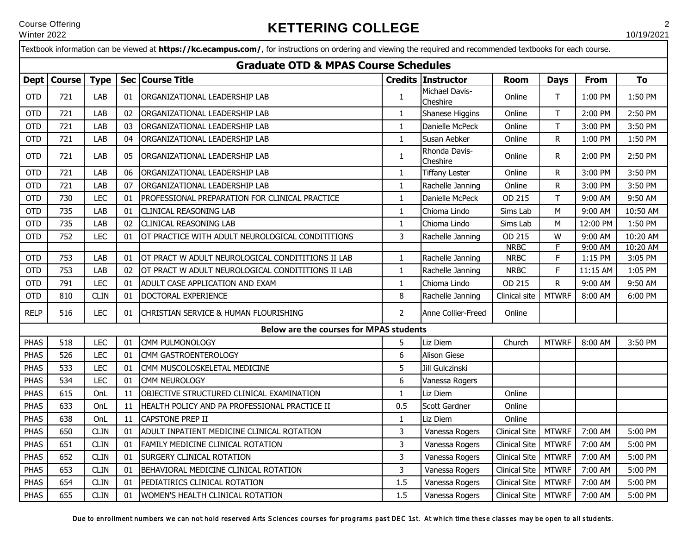Course Offering

|                                                 |               |             |    | Textbook information can be viewed at https://kc.ecampus.com/, for instructions on ordering and viewing the required and recommended textbooks for each course. |              |                            |                       |              |             |          |
|-------------------------------------------------|---------------|-------------|----|-----------------------------------------------------------------------------------------------------------------------------------------------------------------|--------------|----------------------------|-----------------------|--------------|-------------|----------|
| <b>Graduate OTD &amp; MPAS Course Schedules</b> |               |             |    |                                                                                                                                                                 |              |                            |                       |              |             |          |
|                                                 | Dept   Course | <b>Type</b> |    | Sec   Course Title                                                                                                                                              |              | <b>Credits Instructor</b>  | <b>Room</b>           | <b>Days</b>  | <b>From</b> | To       |
| <b>OTD</b>                                      | 721           | LAB         | 01 | ORGANIZATIONAL LEADERSHIP LAB                                                                                                                                   | $\mathbf{1}$ | Michael Davis-<br>Cheshire | Online                | T.           | 1:00 PM     | 1:50 PM  |
| <b>OTD</b>                                      | 721           | LAB         | 02 | ORGANIZATIONAL LEADERSHIP LAB                                                                                                                                   | $\mathbf{1}$ | Shanese Higgins            | Online                | T            | 2:00 PM     | 2:50 PM  |
| <b>OTD</b>                                      | 721           | LAB         | 03 | ORGANIZATIONAL LEADERSHIP LAB                                                                                                                                   | $\mathbf{1}$ | Danielle McPeck            | Online                | $\top$       | 3:00 PM     | 3:50 PM  |
| <b>OTD</b>                                      | 721           | LAB         | 04 | ORGANIZATIONAL LEADERSHIP LAB                                                                                                                                   | $\mathbf{1}$ | Susan Aebker               | Online                | $\mathsf R$  | 1:00 PM     | 1:50 PM  |
| <b>OTD</b>                                      | 721           | LAB         | 05 | ORGANIZATIONAL LEADERSHIP LAB                                                                                                                                   | $\mathbf{1}$ | Rhonda Davis-<br>Cheshire  | Online                | R            | 2:00 PM     | 2:50 PM  |
| <b>OTD</b>                                      | 721           | LAB         | 06 | ORGANIZATIONAL LEADERSHIP LAB                                                                                                                                   | $\mathbf{1}$ | <b>Tiffany Lester</b>      | Online                | R            | 3:00 PM     | 3:50 PM  |
| <b>OTD</b>                                      | 721           | LAB         | 07 | ORGANIZATIONAL LEADERSHIP LAB                                                                                                                                   | $\mathbf{1}$ | Rachelle Janning           | Online                | R            | 3:00 PM     | 3:50 PM  |
| <b>OTD</b>                                      | 730           | <b>LEC</b>  | 01 | PROFESSIONAL PREPARATION FOR CLINICAL PRACTICE                                                                                                                  | $\mathbf{1}$ | Danielle McPeck            | OD 215                | T            | 9:00 AM     | 9:50 AM  |
| <b>OTD</b>                                      | 735           | LAB         | 01 | <b>CLINICAL REASONING LAB</b>                                                                                                                                   | $\mathbf{1}$ | Chioma Lindo               | Sims Lab              | М            | 9:00 AM     | 10:50 AM |
| <b>OTD</b>                                      | 735           | LAB         | 02 | <b>CLINICAL REASONING LAB</b>                                                                                                                                   | $\mathbf{1}$ | Chioma Lindo               | Sims Lab              | M            | 12:00 PM    | 1:50 PM  |
| <b>OTD</b>                                      | 752           | <b>LEC</b>  | 01 | OT PRACTICE WITH ADULT NEUROLOGICAL CONDITITIONS                                                                                                                | 3            | Rachelle Janning           | OD 215                | W            | $9:00$ AM   | 10:20 AM |
|                                                 |               |             |    |                                                                                                                                                                 |              |                            | <b>NRBC</b>           | F            | 9:00 AM     | 10:20 AM |
| <b>OTD</b>                                      | 753           | LAB         | 01 | OT PRACT W ADULT NEUROLOGICAL CONDITITIONS II LAB                                                                                                               | $\mathbf{1}$ | Rachelle Janning           | <b>NRBC</b>           | F            | 1:15 PM     | 3:05 PM  |
| <b>OTD</b>                                      | 753           | LAB         | 02 | OT PRACT W ADULT NEUROLOGICAL CONDITITIONS II LAB                                                                                                               | 1            | Rachelle Janning           | <b>NRBC</b>           | F.           | 11:15 AM    | 1:05 PM  |
| OTD                                             | 791           | <b>LEC</b>  | 01 | ADULT CASE APPLICATION AND EXAM                                                                                                                                 | $\mathbf{1}$ | Chioma Lindo               | OD 215                | ${\sf R}$    | 9:00 AM     | 9:50 AM  |
| <b>OTD</b>                                      | 810           | <b>CLIN</b> | 01 | DOCTORAL EXPERIENCE                                                                                                                                             | 8            | Rachelle Janning           | Clinical site         | <b>MTWRF</b> | 8:00 AM     | 6:00 PM  |
| <b>RELP</b>                                     | 516           | <b>LEC</b>  | 01 | CHRISTIAN SERVICE & HUMAN FLOURISHING                                                                                                                           | $\mathbf{2}$ | Anne Collier-Freed         | Online                |              |             |          |
|                                                 |               |             |    | <b>Below are the courses for MPAS students</b>                                                                                                                  |              |                            |                       |              |             |          |
| <b>PHAS</b>                                     | 518           | <b>LEC</b>  | 01 | <b>CMM PULMONOLOGY</b>                                                                                                                                          | 5            | Liz Diem                   | Church                | <b>MTWRF</b> | 8:00 AM     | 3:50 PM  |
| <b>PHAS</b>                                     | 526           | <b>LEC</b>  | 01 | CMM GASTROENTEROLOGY                                                                                                                                            | 6            | Alison Giese               |                       |              |             |          |
| <b>PHAS</b>                                     | 533           | <b>LEC</b>  | 01 | CMM MUSCOLOSKELETAL MEDICINE                                                                                                                                    | 5            | Jill Gulczinski            |                       |              |             |          |
| <b>PHAS</b>                                     | 534           | <b>LEC</b>  | 01 | <b>CMM NEUROLOGY</b>                                                                                                                                            | 6            | Vanessa Rogers             |                       |              |             |          |
| <b>PHAS</b>                                     | 615           | OnL         | 11 | <b>OBJECTIVE STRUCTURED CLINICAL EXAMINATION</b>                                                                                                                | $\mathbf{1}$ | Liz Diem                   | Online                |              |             |          |
| <b>PHAS</b>                                     | 633           | OnL         | 11 | HEALTH POLICY AND PA PROFESSIONAL PRACTICE II                                                                                                                   | 0.5          | Scott Gardner              | Online                |              |             |          |
| <b>PHAS</b>                                     | 638           | OnL         | 11 | <b>CAPSTONE PREP II</b>                                                                                                                                         | $\mathbf{1}$ | Liz Diem                   | Online                |              |             |          |
| <b>PHAS</b>                                     | 650           | <b>CLIN</b> | 01 | ADULT INPATIENT MEDICINE CLINICAL ROTATION                                                                                                                      | 3            | Vanessa Rogers             | <b>Clinical Site</b>  | <b>MTWRF</b> | 7:00 AM     | 5:00 PM  |
| <b>PHAS</b>                                     | 651           | <b>CLIN</b> | 01 | <b>FAMILY MEDICINE CLINICAL ROTATION</b>                                                                                                                        | 3            | Vanessa Rogers             | <b>Clinical Site</b>  | <b>MTWRF</b> | 7:00 AM     | 5:00 PM  |
| <b>PHAS</b>                                     | 652           | <b>CLIN</b> | 01 | <b>SURGERY CLINICAL ROTATION</b>                                                                                                                                | 3            | Vanessa Rogers             | <b>Clinical Site</b>  | <b>MTWRF</b> | 7:00 AM     | 5:00 PM  |
| <b>PHAS</b>                                     | 653           | <b>CLIN</b> | 01 | BEHAVIORAL MEDICINE CLINICAL ROTATION                                                                                                                           | 3            | Vanessa Rogers             | <b>Clinical Site</b>  | <b>MTWRF</b> | 7:00 AM     | 5:00 PM  |
| <b>PHAS</b>                                     | 654           | <b>CLIN</b> | 01 | PEDIATIRICS CLINICAL ROTATION                                                                                                                                   | 1.5          | Vanessa Rogers             | <b>Clinical Site</b>  | <b>MTWRF</b> | 7:00 AM     | 5:00 PM  |
| <b>PHAS</b>                                     | 655           | <b>CLIN</b> | 01 | WOMEN'S HEALTH CLINICAL ROTATION                                                                                                                                | 1.5          | Vanessa Rogers             | Clinical Site   MTWRF |              | 7:00 AM     | 5:00 PM  |

Due to enrollment numbers we can not hold reserved Arts Sciences courses for programs past DEC 1st. At which time these classes may be open to all students.